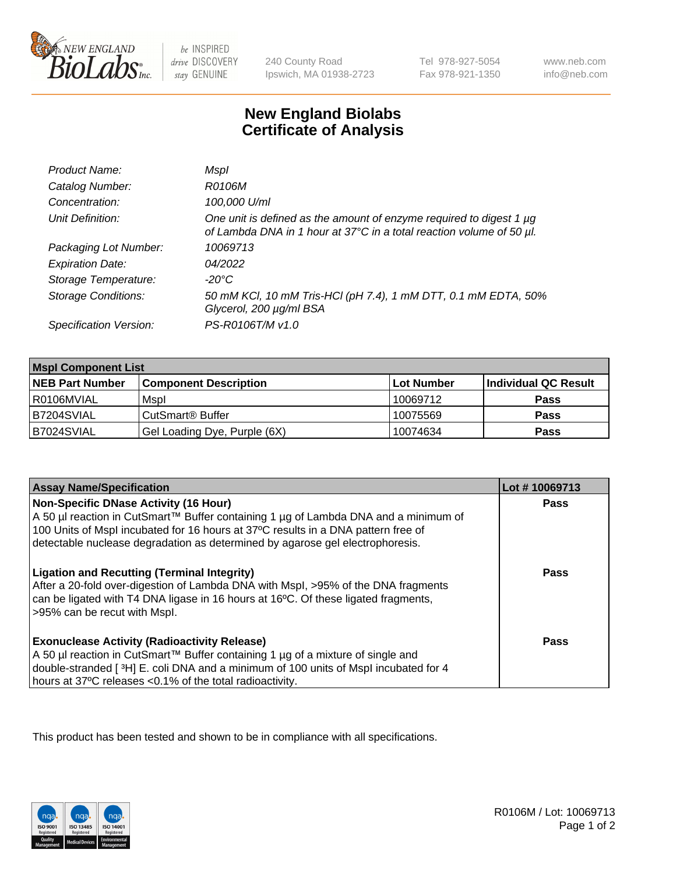

 $be$  INSPIRED drive DISCOVERY stay GENUINE

240 County Road Ipswich, MA 01938-2723 Tel 978-927-5054 Fax 978-921-1350

www.neb.com info@neb.com

## **New England Biolabs Certificate of Analysis**

| Product Name:              | Mspl                                                                                                                                             |
|----------------------------|--------------------------------------------------------------------------------------------------------------------------------------------------|
| Catalog Number:            | R0106M                                                                                                                                           |
| Concentration:             | 100,000 U/ml                                                                                                                                     |
| Unit Definition:           | One unit is defined as the amount of enzyme required to digest 1 $\mu$ g<br>of Lambda DNA in 1 hour at 37°C in a total reaction volume of 50 µl. |
| Packaging Lot Number:      | 10069713                                                                                                                                         |
| <b>Expiration Date:</b>    | 04/2022                                                                                                                                          |
| Storage Temperature:       | -20°C                                                                                                                                            |
| <b>Storage Conditions:</b> | 50 mM KCl, 10 mM Tris-HCl (pH 7.4), 1 mM DTT, 0.1 mM EDTA, 50%<br>Glycerol, 200 µg/ml BSA                                                        |
| Specification Version:     | PS-R0106T/M v1.0                                                                                                                                 |

| <b>Mspl Component List</b> |                              |            |                      |  |
|----------------------------|------------------------------|------------|----------------------|--|
| <b>NEB Part Number</b>     | <b>Component Description</b> | Lot Number | Individual QC Result |  |
| l R0106MVIAL               | Mspl                         | 10069712   | <b>Pass</b>          |  |
| IB7204SVIAL                | CutSmart <sup>®</sup> Buffer | 10075569   | <b>Pass</b>          |  |
| B7024SVIAL                 | Gel Loading Dye, Purple (6X) | 10074634   | <b>Pass</b>          |  |

| <b>Assay Name/Specification</b>                                                                                                                                                                                                                                                                           | Lot #10069713 |
|-----------------------------------------------------------------------------------------------------------------------------------------------------------------------------------------------------------------------------------------------------------------------------------------------------------|---------------|
| <b>Non-Specific DNase Activity (16 Hour)</b><br>A 50 µl reaction in CutSmart™ Buffer containing 1 µg of Lambda DNA and a minimum of<br>100 Units of Mspl incubated for 16 hours at 37°C results in a DNA pattern free of<br>detectable nuclease degradation as determined by agarose gel electrophoresis. | <b>Pass</b>   |
| <b>Ligation and Recutting (Terminal Integrity)</b><br>After a 20-fold over-digestion of Lambda DNA with Mspl, >95% of the DNA fragments<br>can be ligated with T4 DNA ligase in 16 hours at 16°C. Of these ligated fragments,<br>>95% can be recut with Mspl.                                             | Pass          |
| <b>Exonuclease Activity (Radioactivity Release)</b><br>A 50 µl reaction in CutSmart™ Buffer containing 1 µg of a mixture of single and<br>double-stranded [3H] E. coli DNA and a minimum of 100 units of Mspl incubated for 4<br>hours at 37°C releases <0.1% of the total radioactivity.                 | Pass          |

This product has been tested and shown to be in compliance with all specifications.